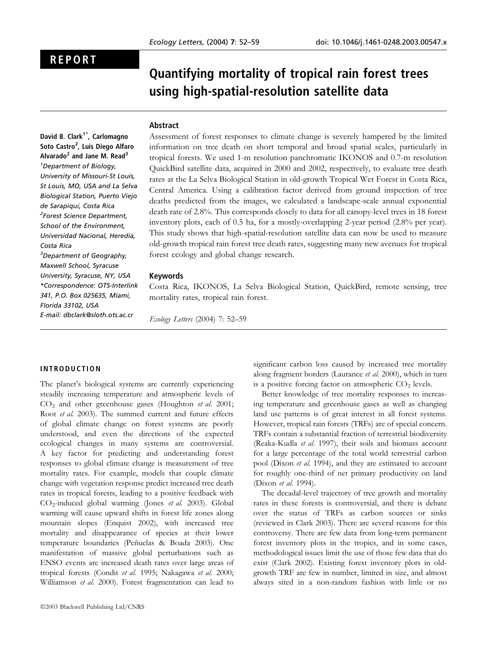# REPORT

# Quantifying mortality of tropical rain forest trees using high-spatial-resolution satellite data

### Abstract

David B. Clark<sup>1\*</sup>, Carlomagno Soto Castro<sup>2</sup>, Luis Diego Alfaro Alvarado<sup>2</sup> and Jane M. Read<sup>3</sup> <sup>1</sup>Department of Biology, University of Missouri-St Louis, St Louis, MO, USA and La Selva Biological Station, Puerto Viejo de Sarapiquí, Costa Rica <sup>2</sup>Forest Science Department, School of the Environment, Universidad Nacional, Heredia, Costa Rica <sup>3</sup>Department of Geography, Maxwell School, Syracuse University, Syracuse, NY, USA \*Correspondence: OTS-Interlink 341, P.O. Box 025635, Miami, Florida 33102, USA E-mail: dbclark@sloth.ots.ac.cr

Assessment of forest responses to climate change is severely hampered by the limited information on tree death on short temporal and broad spatial scales, particularly in tropical forests. We used 1-m resolution panchromatic IKONOS and 0.7-m resolution QuickBird satellite data, acquired in 2000 and 2002, respectively, to evaluate tree death rates at the La Selva Biological Station in old-growth Tropical Wet Forest in Costa Rica, Central America. Using a calibration factor derived from ground inspection of tree deaths predicted from the images, we calculated a landscape-scale annual exponential death rate of 2.8%. This corresponds closely to data for all canopy-level trees in 18 forest inventory plots, each of 0.5 ha, for a mostly-overlapping 2-year period (2.8% per year). This study shows that high-spatial-resolution satellite data can now be used to measure old-growth tropical rain forest tree death rates, suggesting many new avenues for tropical forest ecology and global change research.

# Keywords

Costa Rica, IKONOS, La Selva Biological Station, QuickBird, remote sensing, tree mortality rates, tropical rain forest.

Ecology Letters (2004) 7: 52–59

# INTRODUCTION

The planet's biological systems are currently experiencing steadily increasing temperature and atmospheric levels of  $CO<sub>2</sub>$  and other greenhouse gases (Houghton *et al.* 2001; Root et al. 2003). The summed current and future effects of global climate change on forest systems are poorly understood, and even the directions of the expected ecological changes in many systems are controversial. A key factor for predicting and understanding forest responses to global climate change is measurement of tree mortality rates. For example, models that couple climate change with vegetation response predict increased tree death rates in tropical forests, leading to a positive feedback with CO2-induced global warming (Jones et al. 2003). Global warming will cause upward shifts in forest life zones along mountain slopes (Enquist 2002), with increased tree mortality and disappearance of species at their lower temperature boundaries (Peñuelas & Boada 2003). One manifestation of massive global perturbations such as ENSO events are increased death rates over large areas of tropical forests (Condit et al. 1995; Nakagawa et al. 2000; Williamson et al. 2000). Forest fragmentation can lead to

significant carbon loss caused by increased tree mortality along fragment borders (Laurance et al. 2000), which in turn is a positive forcing factor on atmospheric  $CO<sub>2</sub>$  levels.

Better knowledge of tree mortality responses to increasing temperature and greenhouse gases as well as changing land use patterns is of great interest in all forest systems. However, tropical rain forests (TRFs) are of special concern. TRFs contain a substantial fraction of terrestrial biodiversity (Reaka-Kudla et al. 1997), their soils and biomass account for a large percentage of the total world terrestrial carbon pool (Dixon et al. 1994), and they are estimated to account for roughly one-third of net primary productivity on land (Dixon et al. 1994).

The decadal-level trajectory of tree growth and mortality rates in these forests is controversial, and there is debate over the status of TRFs as carbon sources or sinks (reviewed in Clark 2003). There are several reasons for this controversy. There are few data from long-term permanent forest inventory plots in the tropics, and in some cases, methodological issues limit the use of those few data that do exist (Clark 2002). Existing forest inventory plots in oldgrowth TRF are few in number, limited in size, and almost always sited in a non-random fashion with little or no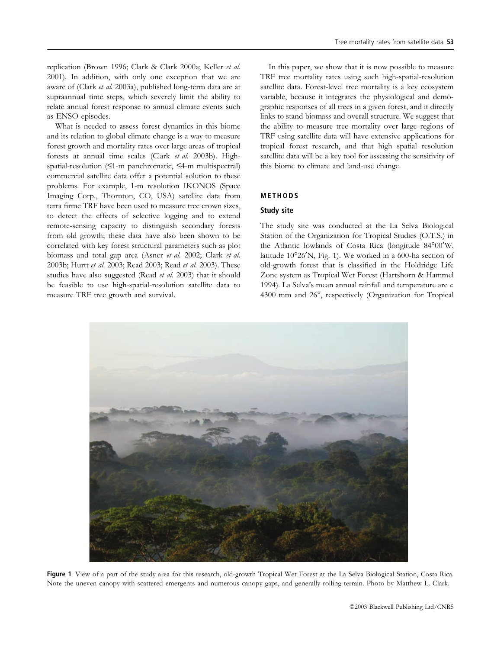replication (Brown 1996; Clark & Clark 2000a; Keller et al. 2001). In addition, with only one exception that we are aware of (Clark et al. 2003a), published long-term data are at supraannual time steps, which severely limit the ability to relate annual forest response to annual climate events such as ENSO episodes.

What is needed to assess forest dynamics in this biome and its relation to global climate change is a way to measure forest growth and mortality rates over large areas of tropical forests at annual time scales (Clark et al. 2003b). Highspatial-resolution  $(≤1-m$  panchromatic,  $≤4-m$  multispectral) commercial satellite data offer a potential solution to these problems. For example, 1-m resolution IKONOS (Space Imaging Corp., Thornton, CO, USA) satellite data from terra firme TRF have been used to measure tree crown sizes, to detect the effects of selective logging and to extend remote-sensing capacity to distinguish secondary forests from old growth; these data have also been shown to be correlated with key forest structural parameters such as plot biomass and total gap area (Asner et al. 2002; Clark et al. 2003b; Hurtt et al. 2003; Read 2003; Read et al. 2003). These studies have also suggested (Read et al. 2003) that it should be feasible to use high-spatial-resolution satellite data to measure TRF tree growth and survival.

In this paper, we show that it is now possible to measure TRF tree mortality rates using such high-spatial-resolution satellite data. Forest-level tree mortality is a key ecosystem variable, because it integrates the physiological and demographic responses of all trees in a given forest, and it directly links to stand biomass and overall structure. We suggest that the ability to measure tree mortality over large regions of TRF using satellite data will have extensive applications for tropical forest research, and that high spatial resolution satellite data will be a key tool for assessing the sensitivity of this biome to climate and land-use change.

# METHODS

#### Study site

The study site was conducted at the La Selva Biological Station of the Organization for Tropical Studies (O.T.S.) in the Atlantic lowlands of Costa Rica (longitude  $84^{\circ}00'W$ , latitude  $10^{\circ}26'N$ , Fig. 1). We worked in a 600-ha section of old-growth forest that is classified in the Holdridge Life Zone system as Tropical Wet Forest (Hartshorn & Hammel 1994). La Selva's mean annual rainfall and temperature are c. 4300 mm and 26°, respectively (Organization for Tropical



Figure 1 View of a part of the study area for this research, old-growth Tropical Wet Forest at the La Selva Biological Station, Costa Rica. Note the uneven canopy with scattered emergents and numerous canopy gaps, and generally rolling terrain. Photo by Matthew L. Clark.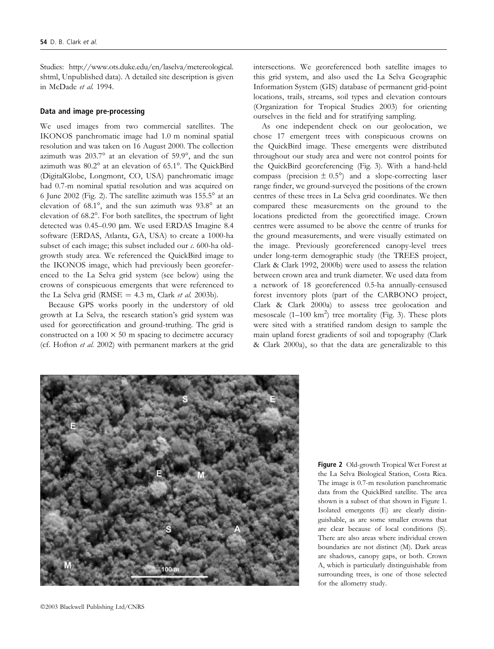Studies: http://www.ots.duke.edu/en/laselva/metereological. shtml, Unpublished data). A detailed site description is given in McDade et al. 1994.

# Data and image pre-processing

We used images from two commercial satellites. The IKONOS panchromatic image had 1.0 m nominal spatial resolution and was taken on 16 August 2000. The collection azimuth was  $203.7^\circ$  at an elevation of  $59.9^\circ$ , and the sun azimuth was  $80.2^\circ$  at an elevation of  $65.1^\circ$ . The QuickBird (DigitalGlobe, Longmont, CO, USA) panchromatic image had 0.7-m nominal spatial resolution and was acquired on 6 June 2002 (Fig. 2). The satellite azimuth was  $155.5^\circ$  at an elevation of  $68.1^\circ$ , and the sun azimuth was  $93.8^\circ$  at an elevation of 68.2°. For both satellites, the spectrum of light detected was 0.45–0.90 µm. We used ERDAS Imagine 8.4 software (ERDAS, Atlanta, GA, USA) to create a 1000-ha subset of each image; this subset included our c. 600-ha oldgrowth study area. We referenced the QuickBird image to the IKONOS image, which had previously been georeferenced to the La Selva grid system (see below) using the crowns of conspicuous emergents that were referenced to the La Selva grid (RMSE  $=$  4.3 m, Clark *et al.* 2003b).

Because GPS works poorly in the understory of old growth at La Selva, the research station's grid system was used for georectification and ground-truthing. The grid is constructed on a  $100 \times 50$  m spacing to decimetre accuracy (cf. Hofton et al. 2002) with permanent markers at the grid intersections. We georeferenced both satellite images to this grid system, and also used the La Selva Geographic Information System (GIS) database of permanent grid-point locations, trails, streams, soil types and elevation contours (Organization for Tropical Studies 2003) for orienting ourselves in the field and for stratifying sampling.

As one independent check on our geolocation, we chose 17 emergent trees with conspicuous crowns on the QuickBird image. These emergents were distributed throughout our study area and were not control points for the QuickBird georeferencing (Fig. 3). With a hand-held compass (precision  $\pm$  0.5°) and a slope-correcting laser range finder, we ground-surveyed the positions of the crown centres of these trees in La Selva grid coordinates. We then compared these measurements on the ground to the locations predicted from the georectified image. Crown centres were assumed to be above the centre of trunks for the ground measurements, and were visually estimated on the image. Previously georeferenced canopy-level trees under long-term demographic study (the TREES project, Clark & Clark 1992, 2000b) were used to assess the relation between crown area and trunk diameter. We used data from a network of 18 georeferenced 0.5-ha annually-censused forest inventory plots (part of the CARBONO project, Clark & Clark 2000a) to assess tree geolocation and mesoscale  $(1-100 \text{ km}^2)$  tree mortality (Fig. 3). These plots were sited with a stratified random design to sample the main upland forest gradients of soil and topography (Clark & Clark 2000a), so that the data are generalizable to this



Figure 2 Old-growth Tropical Wet Forest at the La Selva Biological Station, Costa Rica. The image is 0.7-m resolution panchromatic data from the QuickBird satellite. The area shown is a subset of that shown in Figure 1. Isolated emergents (E) are clearly distinguishable, as are some smaller crowns that are clear because of local conditions (S). There are also areas where individual crown boundaries are not distinct (M). Dark areas are shadows, canopy gaps, or both. Crown A, which is particularly distinguishable from surrounding trees, is one of those selected for the allometry study.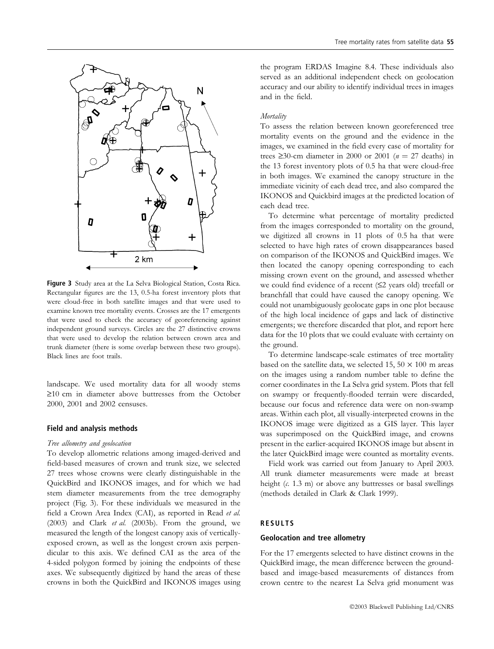

Figure 3 Study area at the La Selva Biological Station, Costa Rica. Rectangular figures are the 13, 0.5-ha forest inventory plots that were cloud-free in both satellite images and that were used to examine known tree mortality events. Crosses are the 17 emergents that were used to check the accuracy of georeferencing against independent ground surveys. Circles are the 27 distinctive crowns that were used to develop the relation between crown area and trunk diameter (there is some overlap between these two groups). Black lines are foot trails.

landscape. We used mortality data for all woody stems  $\geq$ 10 cm in diameter above buttresses from the October 2000, 2001 and 2002 censuses.

#### Field and analysis methods

#### Tree allometry and geolocation

To develop allometric relations among imaged-derived and field-based measures of crown and trunk size, we selected 27 trees whose crowns were clearly distinguishable in the QuickBird and IKONOS images, and for which we had stem diameter measurements from the tree demography project (Fig. 3). For these individuals we measured in the field a Crown Area Index (CAI), as reported in Read et al. (2003) and Clark et al. (2003b). From the ground, we measured the length of the longest canopy axis of verticallyexposed crown, as well as the longest crown axis perpendicular to this axis. We defined CAI as the area of the 4-sided polygon formed by joining the endpoints of these axes. We subsequently digitized by hand the areas of these crowns in both the QuickBird and IKONOS images using the program ERDAS Imagine 8.4. These individuals also served as an additional independent check on geolocation accuracy and our ability to identify individual trees in images and in the field.

## **Mortality**

To assess the relation between known georeferenced tree mortality events on the ground and the evidence in the images, we examined in the field every case of mortality for trees  $\geq$ 30-cm diameter in 2000 or 2001 ( $n = 27$  deaths) in the 13 forest inventory plots of 0.5 ha that were cloud-free in both images. We examined the canopy structure in the immediate vicinity of each dead tree, and also compared the IKONOS and Quickbird images at the predicted location of each dead tree.

To determine what percentage of mortality predicted from the images corresponded to mortality on the ground, we digitized all crowns in 11 plots of 0.5 ha that were selected to have high rates of crown disappearances based on comparison of the IKONOS and QuickBird images. We then located the canopy opening corresponding to each missing crown event on the ground, and assessed whether we could find evidence of a recent  $(≤2$  years old) treefall or branchfall that could have caused the canopy opening. We could not unambiguously geolocate gaps in one plot because of the high local incidence of gaps and lack of distinctive emergents; we therefore discarded that plot, and report here data for the 10 plots that we could evaluate with certainty on the ground.

To determine landscape-scale estimates of tree mortality based on the satellite data, we selected 15, 50  $\times$  100 m areas on the images using a random number table to define the corner coordinates in the La Selva grid system. Plots that fell on swampy or frequently-flooded terrain were discarded, because our focus and reference data were on non-swamp areas. Within each plot, all visually-interpreted crowns in the IKONOS image were digitized as a GIS layer. This layer was superimposed on the QuickBird image, and crowns present in the earlier-acquired IKONOS image but absent in the later QuickBird image were counted as mortality events.

Field work was carried out from January to April 2003. All trunk diameter measurements were made at breast height  $(c. 1.3 \text{ m})$  or above any buttresses or basal swellings (methods detailed in Clark & Clark 1999).

#### RESULTS

#### Geolocation and tree allometry

For the 17 emergents selected to have distinct crowns in the QuickBird image, the mean difference between the groundbased and image-based measurements of distances from crown centre to the nearest La Selva grid monument was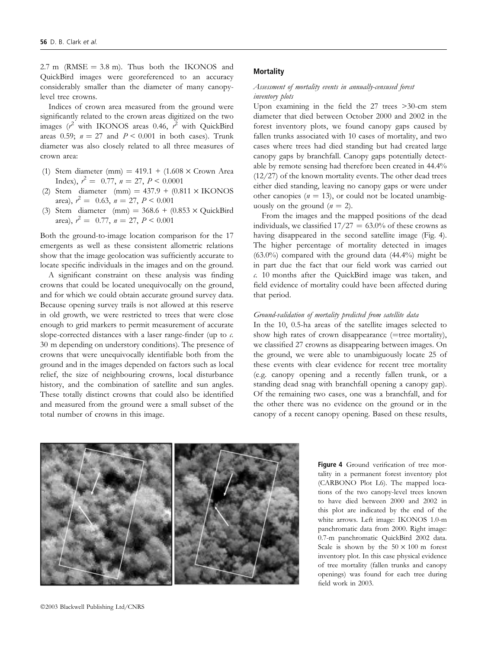2.7 m (RMSE  $=$  3.8 m). Thus both the IKONOS and QuickBird images were georeferenced to an accuracy considerably smaller than the diameter of many canopylevel tree crowns.

Indices of crown area measured from the ground were significantly related to the crown areas digitized on the two images ( $r^2$  with IKONOS areas 0.46,  $r^2$  with QuickBird areas 0.59;  $n = 27$  and  $P < 0.001$  in both cases). Trunk diameter was also closely related to all three measures of crown area:

- (1) Stem diameter (mm) =  $419.1 + (1.608 \times \text{Crown Area})$ Index),  $r^2 = 0.77$ ,  $n = 27$ ,  $P < 0.0001$
- (2) Stem diameter (mm) =  $437.9 + (0.811 \times$  IKONOS area),  $r^2 = 0.63$ ,  $n = 27$ ,  $P < 0.001$
- (3) Stem diameter (mm) =  $368.6 + (0.853 \times$  QuickBird area),  $r^2 = 0.77$ ,  $n = 27$ ,  $P < 0.001$

Both the ground-to-image location comparison for the 17 emergents as well as these consistent allometric relations show that the image geolocation was sufficiently accurate to locate specific individuals in the images and on the ground.

A significant constraint on these analysis was finding crowns that could be located unequivocally on the ground, and for which we could obtain accurate ground survey data. Because opening survey trails is not allowed at this reserve in old growth, we were restricted to trees that were close enough to grid markers to permit measurement of accurate slope-corrected distances with a laser range-finder (up to  $c$ . 30 m depending on understory conditions). The presence of crowns that were unequivocally identifiable both from the ground and in the images depended on factors such as local relief, the size of neighbouring crowns, local disturbance history, and the combination of satellite and sun angles. These totally distinct crowns that could also be identified and measured from the ground were a small subset of the total number of crowns in this image.

#### **Mortality**

# Assessment of mortality events in annually-censused forest inventory plots

Upon examining in the field the 27 trees >30-cm stem diameter that died between October 2000 and 2002 in the forest inventory plots, we found canopy gaps caused by fallen trunks associated with 10 cases of mortality, and two cases where trees had died standing but had created large canopy gaps by branchfall. Canopy gaps potentially detectable by remote sensing had therefore been created in 44.4% (12/27) of the known mortality events. The other dead trees either died standing, leaving no canopy gaps or were under other canopies ( $n = 13$ ), or could not be located unambiguously on the ground  $(n = 2)$ .

From the images and the mapped positions of the dead individuals, we classified  $17/27 = 63.0\%$  of these crowns as having disappeared in the second satellite image (Fig. 4). The higher percentage of mortality detected in images  $(63.0\%)$  compared with the ground data  $(44.4\%)$  might be in part due the fact that our field work was carried out c. 10 months after the QuickBird image was taken, and field evidence of mortality could have been affected during that period.

# Ground-validation of mortality predicted from satellite data

In the 10, 0.5-ha areas of the satellite images selected to show high rates of crown disappearance  $(=$  tree mortality), we classified 27 crowns as disappearing between images. On the ground, we were able to unambiguously locate 25 of these events with clear evidence for recent tree mortality (e.g. canopy opening and a recently fallen trunk, or a standing dead snag with branchfall opening a canopy gap). Of the remaining two cases, one was a branchfall, and for the other there was no evidence on the ground or in the canopy of a recent canopy opening. Based on these results,

Figure 4 Ground verification of tree mortality in a permanent forest inventory plot (CARBONO Plot L6). The mapped locations of the two canopy-level trees known to have died between 2000 and 2002 in this plot are indicated by the end of the white arrows. Left image: IKONOS 1.0-m panchromatic data from 2000. Right image: 0.7-m panchromatic QuickBird 2002 data. Scale is shown by the  $50 \times 100$  m forest inventory plot. In this case physical evidence of tree mortality (fallen trunks and canopy openings) was found for each tree during field work in 2003.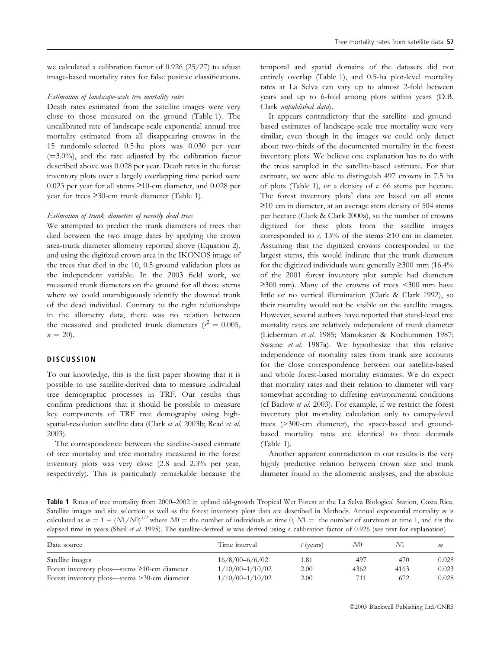we calculated a calibration factor of 0.926 (25/27) to adjust image-based mortality rates for false positive classifications.

### Estimation of landscape-scale tree mortality rates

Death rates estimated from the satellite images were very close to those measured on the ground (Table 1). The uncalibrated rate of landscape-scale exponential annual tree mortality estimated from all disappearing crowns in the 15 randomly-selected 0.5-ha plots was 0.030 per year  $(=3.0\%)$ , and the rate adjusted by the calibration factor described above was 0.028 per year. Death rates in the forest inventory plots over a largely overlapping time period were 0.023 per year for all stems  $\geq$ 10-cm diameter, and 0.028 per year for trees  $\geq 30$ -cm trunk diameter (Table 1).

#### Estimation of trunk diameters of recently dead trees

We attempted to predict the trunk diameters of trees that died between the two image dates by applying the crown area-trunk diameter allometry reported above (Equation 2), and using the digitized crown area in the IKONOS image of the trees that died in the 10, 0.5-ground validation plots as the independent variable. In the 2003 field work, we measured trunk diameters on the ground for all those stems where we could unambiguously identify the downed trunk of the dead individual. Contrary to the tight relationships in the allometry data, there was no relation between the measured and predicted trunk diameters ( $r^2 = 0.005$ ,  $n = 20$ ).

# **DISCUSSION**

To our knowledge, this is the first paper showing that it is possible to use satellite-derived data to measure individual tree demographic processes in TRF. Our results thus confirm predictions that it should be possible to measure key components of TRF tree demography using highspatial-resolution satellite data (Clark et al. 2003b; Read et al. 2003).

The correspondence between the satellite-based estimate of tree mortality and tree mortality measured in the forest inventory plots was very close (2.8 and 2.3% per year, respectively). This is particularly remarkable because the

temporal and spatial domains of the datasets did not entirely overlap (Table 1), and 0.5-ha plot-level mortality rates at La Selva can vary up to almost 2-fold between years and up to 6-fold among plots within years (D.B. Clark unpublished data).

It appears contradictory that the satellite- and groundbased estimates of landscape-scale tree mortality were very similar, even though in the images we could only detect about two-thirds of the documented mortality in the forest inventory plots. We believe one explanation has to do with the trees sampled in the satellite-based estimate. For that estimate, we were able to distinguish 497 crowns in 7.5 ha of plots (Table 1), or a density of  $\epsilon$ . 66 stems per hectare. The forest inventory plots' data are based on all stems  $\geq$ 10 cm in diameter, at an average stem density of 504 stems per hectare (Clark & Clark 2000a), so the number of crowns digitized for these plots from the satellite images corresponded to  $\alpha$ . 13% of the stems  $\geq 10$  cm in diameter. Assuming that the digitized crowns corresponded to the largest stems, this would indicate that the trunk diameters for the digitized individuals were generally  $\geq 300$  mm (16.4%) of the 2001 forest inventory plot sample had diameters  $\geq$ 300 mm). Many of the crowns of trees <300 mm have little or no vertical illumination (Clark & Clark 1992), so their mortality would not be visible on the satellite images. However, several authors have reported that stand-level tree mortality rates are relatively independent of trunk diameter (Lieberman et al. 1985; Manokaran & Kochummen 1987; Swaine et al. 1987a). We hypothesize that this relative independence of mortality rates from trunk size accounts for the close correspondence between our satellite-based and whole forest-based mortality estimates. We do expect that mortality rates and their relation to diameter will vary somewhat according to differing environmental conditions (cf Barlow et al. 2003). For example, if we restrict the forest inventory plot mortality calculation only to canopy-level trees (>300-cm diameter), the space-based and groundbased mortality rates are identical to three decimals (Table 1).

Another apparent contradiction in our results is the very highly predictive relation between crown size and trunk diameter found in the allometric analyses, and the absolute

Table 1 Rates of tree mortality from 2000–2002 in upland old-growth Tropical Wet Forest at the La Selva Biological Station, Costa Rica. Satellite images and site selection as well as the forest inventory plots data are described in Methods. Annual exponential mortality m is calculated as  $m = 1 - (N1/N0)^{1/t}$  where  $N0 =$  the number of individuals at time 0,  $N1 =$  the number of survivors at time 1, and t is the elapsed time in years (Sheil et al. 1995). The satellite-derived m was derived using a calibration factor of 0.926 (see text for explanation)

| Data source                                         | Time interval       | $t$ (years) | N0.  | M1   | m     |
|-----------------------------------------------------|---------------------|-------------|------|------|-------|
| Satellite images                                    | $16/8/00 - 6/6/02$  | 1.81        | 497  | 470  | 0.028 |
| Forest inventory plots—stems $\geq 10$ -cm diameter | $1/10/00 - 1/10/02$ | 2.00        | 4362 | 4163 | 0.023 |
| Forest inventory plots—stems >30-cm diameter        | $1/10/00 - 1/10/02$ | 2.00        | 711  | 672  | 0.028 |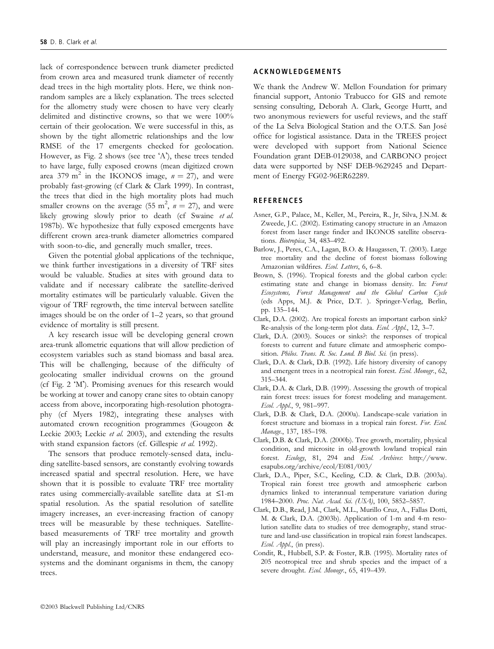lack of correspondence between trunk diameter predicted from crown area and measured trunk diameter of recently dead trees in the high mortality plots. Here, we think nonrandom samples are a likely explanation. The trees selected for the allometry study were chosen to have very clearly delimited and distinctive crowns, so that we were 100% certain of their geolocation. We were successful in this, as shown by the tight allometric relationships and the low RMSE of the 17 emergents checked for geolocation. However, as Fig. 2 shows (see tree 'A'), these trees tended to have large, fully exposed crowns (mean digitized crown area 379 m<sup>2</sup> in the IKONOS image,  $n = 27$ ), and were probably fast-growing (cf Clark & Clark 1999). In contrast, the trees that died in the high mortality plots had much smaller crowns on the average (55 m<sup>2</sup>,  $n = 27$ ), and were likely growing slowly prior to death (cf Swaine et al. 1987b). We hypothesize that fully exposed emergents have different crown area-trunk diameter allometries compared with soon-to-die, and generally much smaller, trees.

Given the potential global applications of the technique, we think further investigations in a diversity of TRF sites would be valuable. Studies at sites with ground data to validate and if necessary calibrate the satellite-derived mortality estimates will be particularly valuable. Given the vigour of TRF regrowth, the time interval between satellite images should be on the order of 1–2 years, so that ground evidence of mortality is still present.

A key research issue will be developing general crown area-trunk allometric equations that will allow prediction of ecosystem variables such as stand biomass and basal area. This will be challenging, because of the difficulty of geolocating smaller individual crowns on the ground (cf Fig. 2 'M'). Promising avenues for this research would be working at tower and canopy crane sites to obtain canopy access from above, incorporating high-resolution photography (cf Myers 1982), integrating these analyses with automated crown recognition programmes (Gougeon & Leckie 2003; Leckie et al. 2003), and extending the results with stand expansion factors (cf. Gillespie et al. 1992).

The sensors that produce remotely-sensed data, including satellite-based sensors, are constantly evolving towards increased spatial and spectral resolution. Here, we have shown that it is possible to evaluate TRF tree mortality rates using commercially-available satellite data at £1-m spatial resolution. As the spatial resolution of satellite imagery increases, an ever-increasing fraction of canopy trees will be measurable by these techniques. Satellitebased measurements of TRF tree mortality and growth will play an increasingly important role in our efforts to understand, measure, and monitor these endangered ecosystems and the dominant organisms in them, the canopy trees.

# ACKNOWLEDGEMENTS

We thank the Andrew W. Mellon Foundation for primary financial support, Antonio Trabucco for GIS and remote sensing consulting, Deborah A. Clark, George Hurtt, and two anonymous reviewers for useful reviews, and the staff of the La Selva Biological Station and the O.T.S. San Jose´ office for logistical assistance. Data in the TREES project were developed with support from National Science Foundation grant DEB-0129038, and CARBONO project data were supported by NSF DEB-9629245 and Department of Energy FG02-96ER62289.

#### **REFERENCES**

- Asner, G.P., Palace, M., Keller, M., Pereira, R., Jr, Silva, J.N.M. & Zweede, J.C. (2002). Estimating canopy structure in an Amazon forest from laser range finder and IKONOS satellite observations. Biotropica, 34, 483–492.
- Barlow, J., Peres, C.A., Lagan, B.O. & Haugassen, T. (2003). Large tree mortality and the decline of forest biomass following Amazonian wildfires. Ecol. Letters, 6, 6–8.
- Brown, S. (1996). Tropical forests and the global carbon cycle: estimating state and change in biomass density. In: Forest Ecosystems, Forest Management and the Global Carbon Cycle (eds Apps, M.J. & Price, D.T. ). Springer-Verlag, Berlin, pp. 135–144.
- Clark, D.A. (2002). Are tropical forests an important carbon sink? Re-analysis of the long-term plot data. Ecol. Appl., 12, 3-7.
- Clark, D.A. (2003). Souces or sinks?: the responses of tropical forests to current and future climate and atmospheric composition. Philos. Trans. R. Soc. Lond. B Biol. Sci. (in press).
- Clark, D.A. & Clark, D.B. (1992). Life history diversity of canopy and emergent trees in a neotropical rain forest. Ecol. Monogr., 62, 315–344.
- Clark, D.A. & Clark, D.B. (1999). Assessing the growth of tropical rain forest trees: issues for forest modeling and management. Ecol. Appl., 9, 981–997.
- Clark, D.B. & Clark, D.A. (2000a). Landscape-scale variation in forest structure and biomass in a tropical rain forest. For. Ecol. Manage., 137, 185–198.
- Clark, D.B. & Clark, D.A. (2000b). Tree growth, mortality, physical condition, and microsite in old-growth lowland tropical rain forest. Ecology, 81, 294 and Ecol. Archives: http://www. esapubs.org/archive/ecol/E081/003/
- Clark, D.A., Piper, S.C., Keeling, C.D. & Clark, D.B. (2003a). Tropical rain forest tree growth and atmospheric carbon dynamics linked to interannual temperature variation during 1984–2000. Proc. Nat. Acad. Sci. (USA), 100, 5852–5857.
- Clark, D.B., Read, J.M., Clark, M.L., Murillo Cruz, A., Fallas Dotti, M. & Clark, D.A. (2003b). Application of 1-m and 4-m resolution satellite data to studies of tree demography, stand structure and land-use classification in tropical rain forest landscapes. Ecol. Appl., (in press).
- Condit, R., Hubbell, S.P. & Foster, R.B. (1995). Mortality rates of 205 neotropical tree and shrub species and the impact of a severe drought. Ecol. Monogr., 65, 419-439.